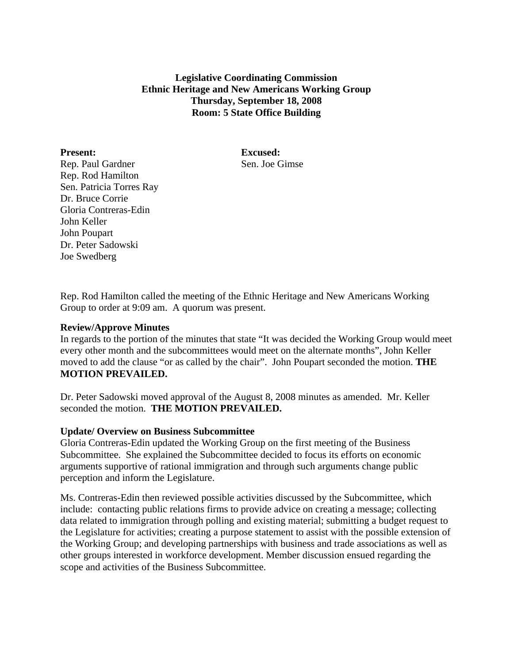**Legislative Coordinating Commission Ethnic Heritage and New Americans Working Group Thursday, September 18, 2008 Room: 5 State Office Building** 

**Present:** Excused: Rep. Paul Gardner Sen. Joe Gimse Rep. Rod Hamilton Sen. Patricia Torres Ray Dr. Bruce Corrie Gloria Contreras-Edin John Keller John Poupart Dr. Peter Sadowski Joe Swedberg

Rep. Rod Hamilton called the meeting of the Ethnic Heritage and New Americans Working Group to order at 9:09 am. A quorum was present.

### **Review/Approve Minutes**

In regards to the portion of the minutes that state "It was decided the Working Group would meet every other month and the subcommittees would meet on the alternate months", John Keller moved to add the clause "or as called by the chair". John Poupart seconded the motion. **THE MOTION PREVAILED.** 

Dr. Peter Sadowski moved approval of the August 8, 2008 minutes as amended. Mr. Keller seconded the motion. **THE MOTION PREVAILED.**

### **Update/ Overview on Business Subcommittee**

Gloria Contreras-Edin updated the Working Group on the first meeting of the Business Subcommittee. She explained the Subcommittee decided to focus its efforts on economic arguments supportive of rational immigration and through such arguments change public perception and inform the Legislature.

Ms. Contreras-Edin then reviewed possible activities discussed by the Subcommittee, which include: contacting public relations firms to provide advice on creating a message; collecting data related to immigration through polling and existing material; submitting a budget request to the Legislature for activities; creating a purpose statement to assist with the possible extension of the Working Group; and developing partnerships with business and trade associations as well as other groups interested in workforce development. Member discussion ensued regarding the scope and activities of the Business Subcommittee.